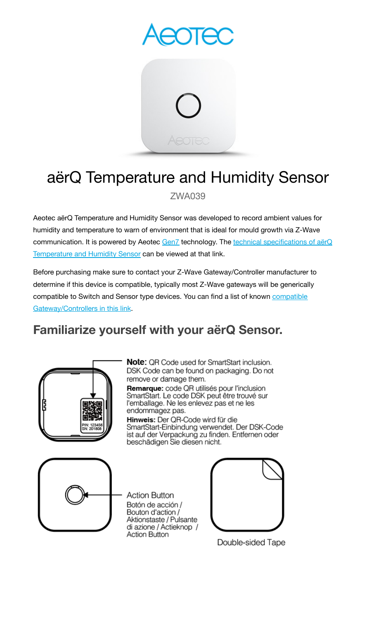

# aërQ Temperature and Humidity Sensor

ZWA039

Aeotec aërQ Temperature and Humidity Sensor was developed to record ambient values for humidity and temperature to warn of environment that is ideal for mould growth via Z-Wave communication. It is powered by Aeotec [Gen7](https://aeotec.com/z-wave-home-automation/z-wave-gen7.html) technology. The technical [specifications](https://aeotec.freshdesk.com/a/solutions/articles/6000227919) of aërQ [Temperature](https://aeotec.freshdesk.com/a/solutions/articles/6000227919) and Humidity Sensor can be viewed at that link.

Before purchasing make sure to contact your Z-Wave Gateway/Controller manufacturer to determine if this device is compatible, typically most Z-Wave gateways will be generically [compatible](https://aeotec.com/z-wave-gateways/) to Switch and Sensor type devices. You can find a list of known compatible [Gateway/Controllers](https://aeotec.com/z-wave-gateways/) in this link.

# **Familiarize yourself with your aërQ Sensor.**



Note: QR Code used for SmartStart inclusion. DSK Code can be found on packaging. Do not remove or damage them.

Remarque: code QR utilisés pour l'inclusion SmartStart. Le code DSK peut être trouvé sur l'emballage. Ne les enlevez pas et ne les endommagez pas.

Hinweis: Der QR-Code wird für die SmartStart-Einbindung verwendet. Der DSK-Code ist auf der Verpackung zu finden. Entfernen oder<br>beschädigen Sie diesen nicht.



**Action Button** Botón de acción / Bouton d'action / Aktionstaste / Pulsante di azione / Actieknop / **Action Button** 



Double-sided Tape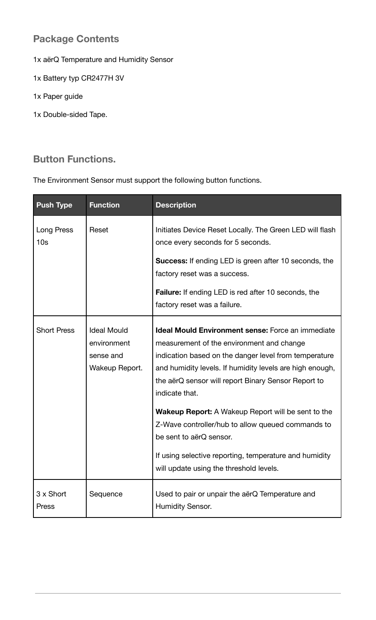# **Package Contents**

- 1x aërQ Temperature and Humidity Sensor
- 1x Battery typ CR2477H 3V
- 1x Paper guide
- 1x Double-sided Tape.

# **Button Functions.**

The Environment Sensor must support the following button functions.

| <b>Push Type</b>              | <b>Function</b>                                                  | <b>Description</b>                                                                                                                                                                                                                                                                                                                                                                                                                                                                                                                                    |
|-------------------------------|------------------------------------------------------------------|-------------------------------------------------------------------------------------------------------------------------------------------------------------------------------------------------------------------------------------------------------------------------------------------------------------------------------------------------------------------------------------------------------------------------------------------------------------------------------------------------------------------------------------------------------|
| Long Press<br>10 <sub>s</sub> | Reset                                                            | Initiates Device Reset Locally. The Green LED will flash<br>once every seconds for 5 seconds.                                                                                                                                                                                                                                                                                                                                                                                                                                                         |
|                               |                                                                  | <b>Success:</b> If ending LED is green after 10 seconds, the<br>factory reset was a success.                                                                                                                                                                                                                                                                                                                                                                                                                                                          |
|                               |                                                                  | <b>Failure:</b> If ending LED is red after 10 seconds, the<br>factory reset was a failure.                                                                                                                                                                                                                                                                                                                                                                                                                                                            |
| <b>Short Press</b>            | <b>Ideal Mould</b><br>environment<br>sense and<br>Wakeup Report. | <b>Ideal Mould Environment sense: Force an immediate</b><br>measurement of the environment and change<br>indication based on the danger level from temperature<br>and humidity levels. If humidity levels are high enough,<br>the aërQ sensor will report Binary Sensor Report to<br>indicate that.<br><b>Wakeup Report:</b> A Wakeup Report will be sent to the<br>Z-Wave controller/hub to allow queued commands to<br>be sent to aërQ sensor.<br>If using selective reporting, temperature and humidity<br>will update using the threshold levels. |
| 3 x Short<br>Press            | Sequence                                                         | Used to pair or unpair the aërQ Temperature and<br>Humidity Sensor.                                                                                                                                                                                                                                                                                                                                                                                                                                                                                   |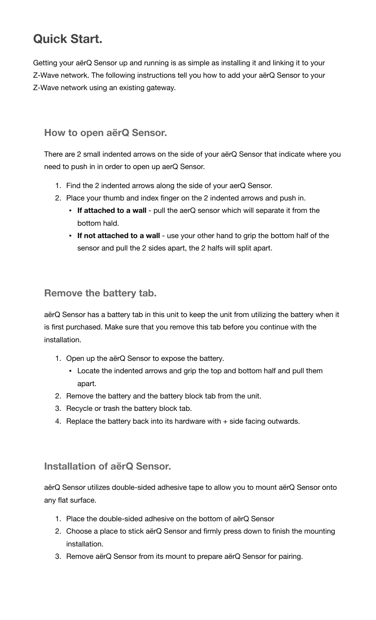# **Quick Start.**

Getting your aërQ Sensor up and running is as simple as installing it and linking it to your Z-Wave network. The following instructions tell you how to add your aërQ Sensor to your Z-Wave network using an existing gateway.

### **How to open aërQ Sensor.**

There are 2 small indented arrows on the side of your aërQ Sensor that indicate where you need to push in in order to open up aerQ Sensor.

- 1. Find the 2 indented arrows along the side of your aerQ Sensor.
- 2. Place your thumb and index finger on the 2 indented arrows and push in.
	- **If attached to a wall** pull the aerQ sensor which will separate it from the bottom hald.
	- **If not attached to a wall** use your other hand to grip the bottom half of the sensor and pull the 2 sides apart, the 2 halfs will split apart.

# **Remove the battery tab.**

aërQ Sensor has a battery tab in this unit to keep the unit from utilizing the battery when it is first purchased. Make sure that you remove this tab before you continue with the installation.

- 1. Open up the aërQ Sensor to expose the battery.
	- **EXEL Arror** Locate the indented arrows and grip the top and bottom half and pull them apart.
- 2. Remove the battery and the battery block tab from the unit.
- 3. Recycle or trash the battery block tab.
- 4. Replace the battery back into its hardware with + side facing outwards.

## **Installation of aërQ Sensor.**

aërQ Sensor utilizes double-sided adhesive tape to allow you to mount aërQ Sensor onto any flat surface.

- 1. Place the double-sided adhesive on the bottom of aërQ Sensor
- 2. Choose a place to stick aërQ Sensor and firmly press down to finish the mounting installation.
- 3. Remove aërQ Sensor from its mount to prepare aërQ Sensor for pairing.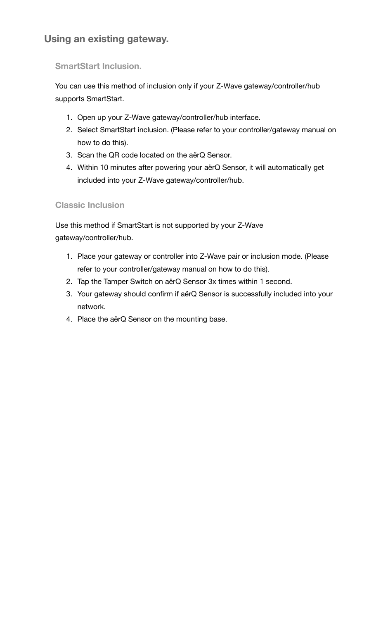# **Using an existing gateway.**

### **SmartStart Inclusion.**

You can use this method of inclusion only if your Z-Wave gateway/controller/hub supports SmartStart.

- 1. Open up your Z-Wave gateway/controller/hub interface.
- 2. Select SmartStart inclusion. (Please refer to your controller/gateway manual on how to do this).
- 3. Scan the QR code located on the aërQ Sensor.
- 4. Within 10 minutes after powering your aërQ Sensor, it will automatically get included into your Z-Wave gateway/controller/hub.

**Classic Inclusion**

Use this method if SmartStart is not supported by your Z-Wave gateway/controller/hub.

- 1. Place your gateway or controller into Z-Wave pair or inclusion mode. (Please refer to your controller/gateway manual on how to do this).
- 2. Tap the Tamper Switch on aërQ Sensor 3x times within 1 second.
- 3. Your gateway should confirm if aërQ Sensor is successfully included into your network.
- 4. Place the aërQ Sensor on the mounting base.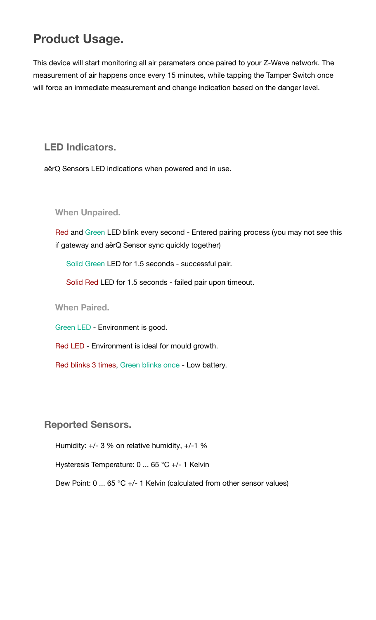# **Product Usage.**

This device will start monitoring all air parameters once paired to your Z-Wave network. The measurement of air happens once every 15 minutes, while tapping the Tamper Switch once will force an immediate measurement and change indication based on the danger level.

**LED Indicators.**

aërQ Sensors LED indications when powered and in use.

**When Unpaired.**

Red and Green LED blink every second - Entered pairing process (you may not see this if gateway and aërQ Sensor sync quickly together)

Solid Green LED for 1.5 seconds - successful pair.

Solid Red LED for 1.5 seconds - failed pair upon timeout.

**When Paired.**

Green LED - Environment is good.

Red LED - Environment is ideal for mould growth.

Red blinks 3 times, Green blinks once - Low battery.

**Reported Sensors.**

Humidity: +/- 3 % on relative humidity, +/-1 %

Hysteresis Temperature: 0 ... 65 °C +/- 1 Kelvin

Dew Point: 0 ... 65 °C +/- 1 Kelvin (calculated from other sensor values)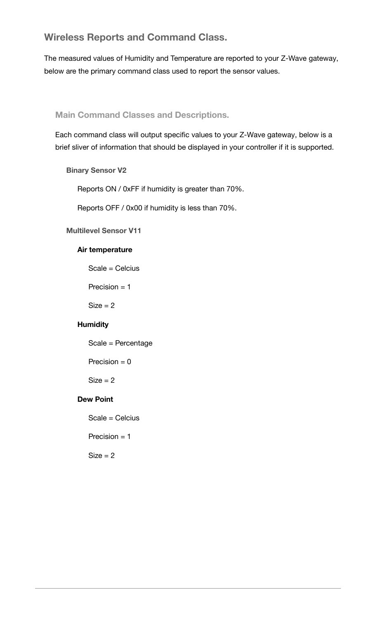### **Wireless Reports and Command Class.**

The measured values of Humidity and Temperature are reported to your Z-Wave gateway, below are the primary command class used to report the sensor values.

#### **Main Command Classes and Descriptions.**

Each command class will output specific values to your Z-Wave gateway, below is a brief sliver of information that should be displayed in your controller if it is supported.

#### **Binary Sensor V2**

Reports ON / 0xFF if humidity is greater than 70%.

Reports OFF / 0x00 if humidity is less than 70%.

#### **Multilevel Sensor V11**

#### **Air temperature**

Scale = Celcius

Precision = 1

 $Size = 2$ 

#### **Humidity**

Scale = Percentage

Precision  $= 0$ 

 $Size = 2$ 

#### **Dew Point**

Scale = Celcius

Precision  $= 1$ 

 $Size = 2$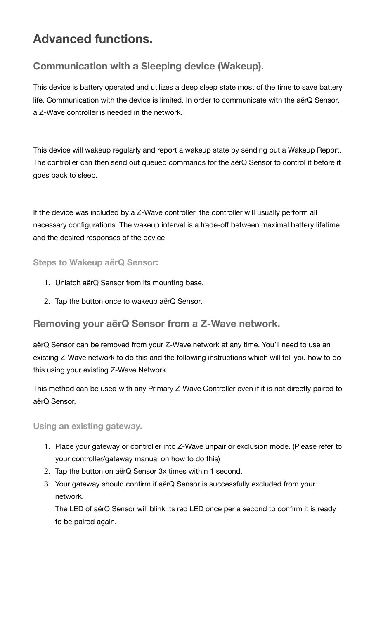# **Advanced functions.**

# **Communication with a Sleeping device (Wakeup).**

This device is battery operated and utilizes a deep sleep state most of the time to save battery life. Communication with the device is limited. In order to communicate with the aërQ Sensor, a Z-Wave controller is needed in the network.

This device will wakeup regularly and report a wakeup state by sending out a Wakeup Report. The controller can then send out queued commands for the aërQ Sensor to control it before it goes back to sleep.

If the device was included by a Z-Wave controller, the controller will usually perform all necessary configurations. The wakeup interval is a trade-off between maximal battery lifetime and the desired responses of the device.

#### **Steps to Wakeup aërQ Sensor:**

- 1. Unlatch aërQ Sensor from its mounting base.
- 2. Tap the button once to wakeup aërQ Sensor.

### **Removing your aërQ Sensor from a Z-Wave network.**

aërQ Sensor can be removed from your Z-Wave network at any time. You'll need to use an existing Z-Wave network to do this and the following instructions which will tell you how to do this using your existing Z-Wave Network.

This method can be used with any Primary Z-Wave Controller even if it is not directly paired to aërQ Sensor.

#### **Using an existing gateway.**

- 1. Place your gateway or controller into Z-Wave unpair or exclusion mode. (Please refer to your controller/gateway manual on how to do this)
- 2. Tap the button on aërQ Sensor 3x times within 1 second.
- 3. Your gateway should confirm if aërQ Sensor is successfully excluded from your network.

The LED of aërQ Sensor will blink its red LED once per a second to confirm it is ready to be paired again.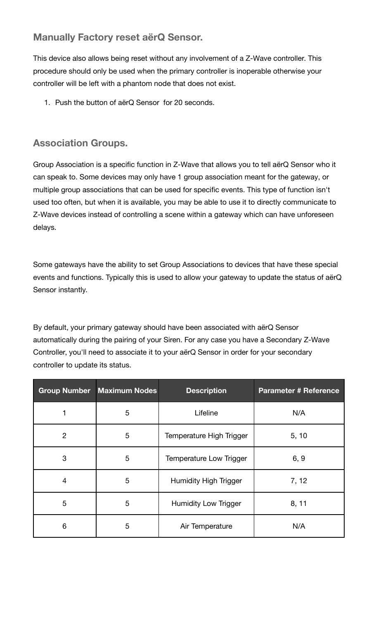# **Manually Factory reset aërQ Sensor.**

This device also allows being reset without any involvement of a Z-Wave controller. This procedure should only be used when the primary controller is inoperable otherwise your controller will be left with a phantom node that does not exist.

1. Push the button of aërQ Sensor for 20 seconds.

# **Association Groups.**

Group Association is a specific function in Z-Wave that allows you to tell aërQ Sensor who it can speak to. Some devices may only have 1 group association meant for the gateway, or multiple group associations that can be used for specific events. This type of function isn't used too often, but when it is available, you may be able to use it to directly communicate to Z-Wave devices instead of controlling a scene within a gateway which can have unforeseen delays.

Some gateways have the ability to set Group Associations to devices that have these special events and functions. Typically this is used to allow your gateway to update the status of aërQ Sensor instantly.

By default, your primary gateway should have been associated with aërQ Sensor automatically during the pairing of your Siren. For any case you have a Secondary Z-Wave Controller, you'll need to associate it to your aërQ Sensor in order for your secondary controller to update its status.

|                | <b>Group Number Maximum Nodes</b> | <b>Description</b>          | <b>Parameter # Reference</b> |
|----------------|-----------------------------------|-----------------------------|------------------------------|
|                | 5                                 | Lifeline                    | N/A                          |
| $\overline{2}$ | 5                                 | Temperature High Trigger    | 5, 10                        |
| 3              | 5                                 | Temperature Low Trigger     | 6, 9                         |
| 4              | 5                                 | Humidity High Trigger       | 7, 12                        |
| 5              | 5                                 | <b>Humidity Low Trigger</b> | 8, 11                        |
| 6              | 5                                 | Air Temperature             | N/A                          |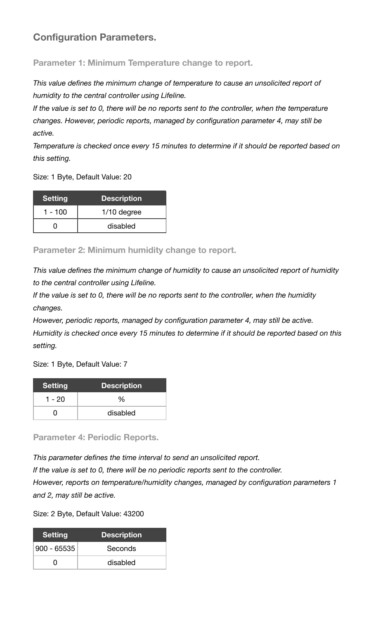# **Configuration Parameters.**

**Parameter 1: Minimum Temperature change to report.**

*This value defines the minimum change of temperature to cause an unsolicited report of humidity to the central controller using Lifeline.*

*If the value is set to 0, there will be no reports sent to the controller, when the temperature changes. However, periodic reports, managed by configuration parameter 4, may still be active.*

*Temperature is checked once every 15 minutes to determine if it should be reported based on this setting.*

Size: 1 Byte, Default Value: 20

| <b>Setting</b> | <b>Description</b> |
|----------------|--------------------|
| $1 - 100$      | $1/10$ degree      |
|                | disabled           |

**Parameter 2: Minimum humidity change to report.**

*This value defines the minimum change of humidity to cause an unsolicited report of humidity to the central controller using Lifeline.*

*If the value is set to 0, there will be no reports sent to the controller, when the humidity changes.*

*However, periodic reports, managed by configuration parameter 4, may still be active. Humidity is checked once every 15 minutes to determine if it should be reported based on this setting.*

Size: 1 Byte, Default Value: 7

| Setting | <b>Description</b> |
|---------|--------------------|
| 1 - 20  | %                  |
|         | disabled           |

**Parameter 4: Periodic Reports.**

*This parameter defines the time interval to send an unsolicited report.*

*If the value is set to 0, there will be no periodic reports sent to the controller. However, reports on temperature/humidity changes, managed by configuration parameters 1 and 2, may still be active.*

Size: 2 Byte, Default Value: 43200

| <b>Setting</b> | <b>Description</b> |
|----------------|--------------------|
| $900 - 65535$  | Seconds            |
| 0              | disabled           |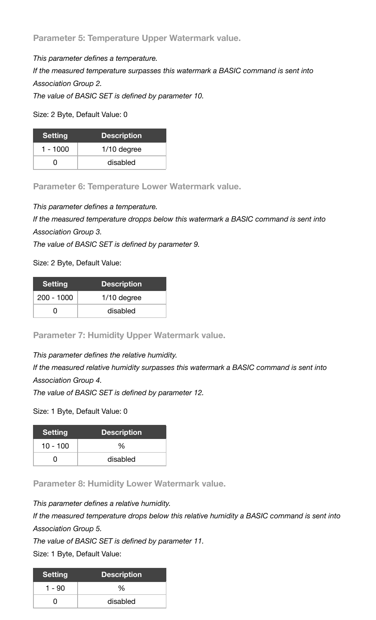**Parameter 5: Temperature Upper Watermark value.**

*This parameter defines a temperature.*

*If the measured temperature surpasses this watermark a BASIC command is sent into Association Group 2.*

*The value of BASIC SET is defined by parameter 10.*

Size: 2 Byte, Default Value: 0

| Setting    | <b>Description</b> |
|------------|--------------------|
| $1 - 1000$ | $1/10$ degree      |
| 0          | disabled           |

**Parameter 6: Temperature Lower Watermark value.**

*This parameter defines a temperature.*

*If the measured temperature dropps below this watermark a BASIC command is sent into Association Group 3.*

*The value of BASIC SET is defined by parameter 9.*

Size: 2 Byte, Default Value:

| <u> S</u> etting | <b>Description</b> |
|------------------|--------------------|
| $200 - 1000$     | $1/10$ degree      |
| O                | disabled           |

**Parameter 7: Humidity Upper Watermark value.**

*This parameter defines the relative humidity.*

*If the measured relative humidity surpasses this watermark a BASIC command is sent into Association Group 4.*

*The value of BASIC SET is defined by parameter 12.*

Size: 1 Byte, Default Value: 0

| Setting    | <b>Description</b> |
|------------|--------------------|
| $10 - 100$ | %                  |
|            | disabled           |

**Parameter 8: Humidity Lower Watermark value.**

*This parameter defines a relative humidity.*

*If the measured temperature drops below this relative humidity a BASIC command is sent into Association Group 5.*

*The value of BASIC SET is defined by parameter 11.*

Size: 1 Byte, Default Value:

| <b>Setting</b> | <b>Description</b> |
|----------------|--------------------|
| 1 - 90         | %                  |
|                | disabled           |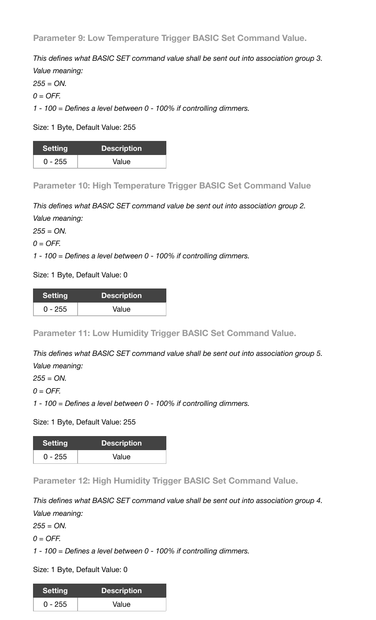**Parameter 9: Low Temperature Trigger BASIC Set Command Value.**

*This defines what BASIC SET command value shall be sent out into association group 3. Value meaning:*

*255 = ON.*

*0 = OFF.*

*1 - 100 = Defines a level between 0 - 100% if controlling dimmers.*

Size: 1 Byte, Default Value: 255

| <b>Setting</b> | <b>Description</b> |
|----------------|--------------------|
| $0 - 255$      | Value              |

**Parameter 10: High Temperature Trigger BASIC Set Command Value**

*This defines what BASIC SET command value be sent out into association group 2. Value meaning:*

*255 = ON.*

*0 = OFF.*

*1 - 100 = Defines a level between 0 - 100% if controlling dimmers.*

Size: 1 Byte, Default Value: 0

| Setting   | <b>Description</b> |
|-----------|--------------------|
| $0 - 255$ | Value              |

**Parameter 11: Low Humidity Trigger BASIC Set Command Value.**

*This defines what BASIC SET command value shall be sent out into association group 5. Value meaning:*

*255 = ON.*

*0 = OFF.*

*1 - 100 = Defines a level between 0 - 100% if controlling dimmers.*

Size: 1 Byte, Default Value: 255

| <b>Setting</b> | <b>Description</b> |
|----------------|--------------------|
| 0 - 255        | Value              |

**Parameter 12: High Humidity Trigger BASIC Set Command Value.**

*This defines what BASIC SET command value shall be sent out into association group 4. Value meaning:*

*255 = ON.*

*0 = OFF.*

*1 - 100 = Defines a level between 0 - 100% if controlling dimmers.*

Size: 1 Byte, Default Value: 0

| <b>Setting</b> | <b>Description</b> |
|----------------|--------------------|
| $0 - 255$      | Value              |